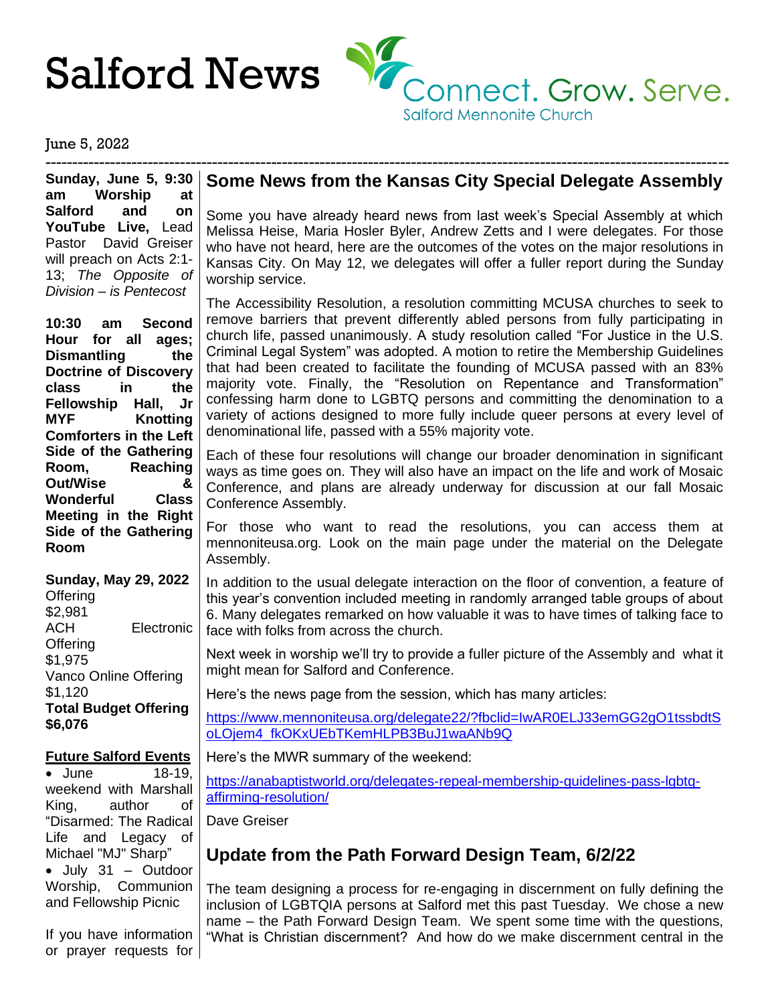

June 5, 2022

**Sunday, June 5, 9:30 am Worship at Salford and on YouTube Live,** Lead Pastor David Greiser will preach on Acts 2:1- 13; *The Opposite of Division – is Pentecost*

**10:30 am Second Hour for all ages; Dismantling the Doctrine of Discovery class in the Fellowship Hall, Jr MYF Knotting Comforters in the Left Side of the Gathering Room, Reaching Out/Wise & Wonderful Class Meeting in the Right Side of the Gathering Room**

**Sunday, May 29, 2022** Offering \$2,981 ACH Electronic **Offering** \$1,975 Vanco Online Offering \$1,120 **Total Budget Offering \$6,076**

#### **Future Salford Events**

• June 18-19, weekend with Marshall King, author of "Disarmed: The Radical Life and Legacy of Michael "MJ" Sharp" • July 31 – Outdoor Worship, Communion and Fellowship Picnic

If you have information or prayer requests for

## **Some News from the Kansas City Special Delegate Assembly**

-------------------------------------------------------------------------------------------------------------------------------

Some you have already heard news from last week's Special Assembly at which Melissa Heise, Maria Hosler Byler, Andrew Zetts and I were delegates. For those who have not heard, here are the outcomes of the votes on the major resolutions in Kansas City. On May 12, we delegates will offer a fuller report during the Sunday worship service.

The Accessibility Resolution, a resolution committing MCUSA churches to seek to remove barriers that prevent differently abled persons from fully participating in church life, passed unanimously. A study resolution called "For Justice in the U.S. Criminal Legal System" was adopted. A motion to retire the Membership Guidelines that had been created to facilitate the founding of MCUSA passed with an 83% majority vote. Finally, the "Resolution on Repentance and Transformation" confessing harm done to LGBTQ persons and committing the denomination to a variety of actions designed to more fully include queer persons at every level of denominational life, passed with a 55% majority vote.

Each of these four resolutions will change our broader denomination in significant ways as time goes on. They will also have an impact on the life and work of Mosaic Conference, and plans are already underway for discussion at our fall Mosaic Conference Assembly.

For those who want to read the resolutions, you can access them at mennoniteusa.org. Look on the main page under the material on the Delegate Assembly.

In addition to the usual delegate interaction on the floor of convention, a feature of this year's convention included meeting in randomly arranged table groups of about 6. Many delegates remarked on how valuable it was to have times of talking face to face with folks from across the church.

Next week in worship we'll try to provide a fuller picture of the Assembly and what it might mean for Salford and Conference.

Here's the news page from the session, which has many articles:

[https://www.mennoniteusa.org/delegate22/?fbclid=IwAR0ELJ33emGG2gO1tssbdtS](https://www.mennoniteusa.org/delegate22/?fbclid=IwAR0ELJ33emGG2gO1tssbdtSoLOjem4_fkOKxUEbTKemHLPB3BuJ1waANb9Q) [oLOjem4\\_fkOKxUEbTKemHLPB3BuJ1waANb9Q](https://www.mennoniteusa.org/delegate22/?fbclid=IwAR0ELJ33emGG2gO1tssbdtSoLOjem4_fkOKxUEbTKemHLPB3BuJ1waANb9Q)

Here's the MWR summary of the weekend:

[https://anabaptistworld.org/delegates-repeal-membership-guidelines-pass-lgbtq](https://anabaptistworld.org/delegates-repeal-membership-guidelines-pass-lgbtq-affirming-resolution/)[affirming-resolution/](https://anabaptistworld.org/delegates-repeal-membership-guidelines-pass-lgbtq-affirming-resolution/)

Dave Greiser

## **Update from the Path Forward Design Team, 6/2/22**

The team designing a process for re-engaging in discernment on fully defining the inclusion of LGBTQIA persons at Salford met this past Tuesday. We chose a new name – the Path Forward Design Team. We spent some time with the questions, "What is Christian discernment? And how do we make discernment central in the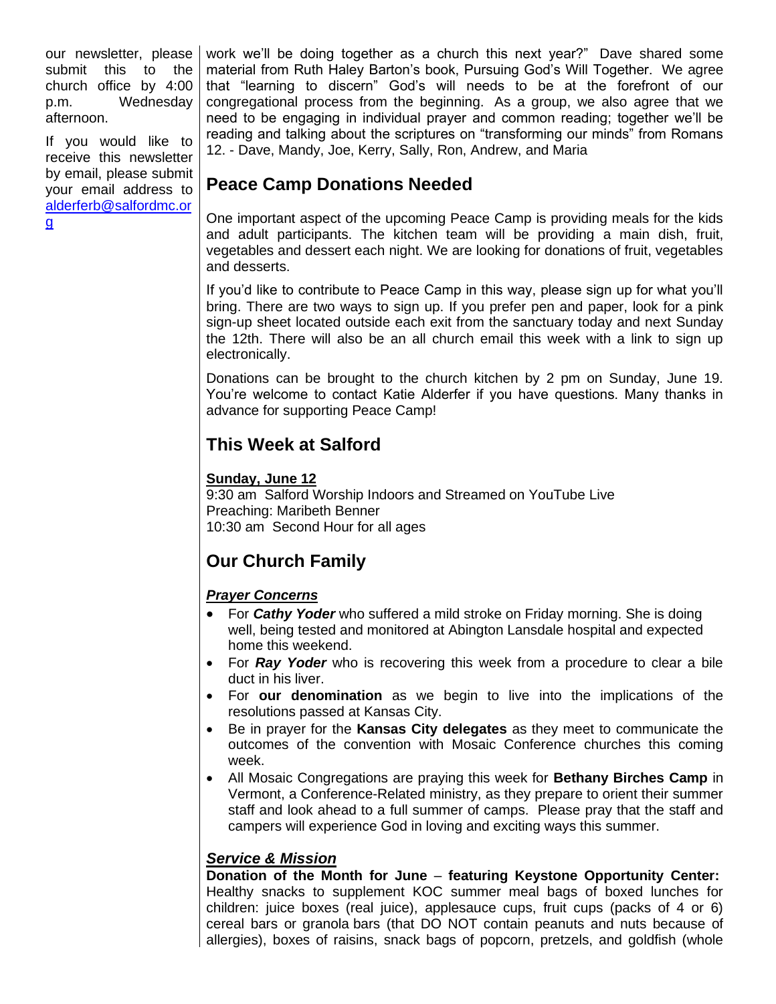our newsletter, please submit this to the church office by 4:00 p.m. Wednesday afternoon.

If you would like to receive this newsletter by email, please submit your email address to [alderferb@salfordmc.or](mailto:alderferb@salfordmc.org) [g](mailto:alderferb@salfordmc.org)

work we'll be doing together as a church this next year?" Dave shared some material from Ruth Haley Barton's book, Pursuing God's Will Together. We agree that "learning to discern" God's will needs to be at the forefront of our congregational process from the beginning. As a group, we also agree that we need to be engaging in individual prayer and common reading; together we'll be reading and talking about the scriptures on "transforming our minds" from Romans 12. - Dave, Mandy, Joe, Kerry, Sally, Ron, Andrew, and Maria

# **Peace Camp Donations Needed**

One important aspect of the upcoming Peace Camp is providing meals for the kids and adult participants. The kitchen team will be providing a main dish, fruit, vegetables and dessert each night. We are looking for donations of fruit, vegetables and desserts.

If you'd like to contribute to Peace Camp in this way, please sign up for what you'll bring. There are two ways to sign up. If you prefer pen and paper, look for a pink sign-up sheet located outside each exit from the sanctuary today and next Sunday the 12th. There will also be an all church email this week with a link to sign up electronically.

Donations can be brought to the church kitchen by 2 pm on Sunday, June 19. You're welcome to contact Katie Alderfer if you have questions. Many thanks in advance for supporting Peace Camp!

# **This Week at Salford**

## **Sunday, June 12**

9:30 am Salford Worship Indoors and Streamed on YouTube Live Preaching: Maribeth Benner 10:30 am Second Hour for all ages

# **Our Church Family**

## *Prayer Concerns*

- For *Cathy Yoder* who suffered a mild stroke on Friday morning. She is doing well, being tested and monitored at Abington Lansdale hospital and expected home this weekend.
- For *Ray Yoder* who is recovering this week from a procedure to clear a bile duct in his liver.
- For **our denomination** as we begin to live into the implications of the resolutions passed at Kansas City.
- Be in prayer for the **Kansas City delegates** as they meet to communicate the outcomes of the convention with Mosaic Conference churches this coming week.
- All Mosaic Congregations are praying this week for **Bethany Birches Camp** in Vermont, a Conference-Related ministry, as they prepare to orient their summer staff and look ahead to a full summer of camps. Please pray that the staff and campers will experience God in loving and exciting ways this summer.

## *Service & Mission*

**Donation of the Month for June** – **featuring Keystone Opportunity Center:** Healthy snacks to supplement KOC summer meal bags of boxed lunches for children: juice boxes (real juice), applesauce cups, fruit cups (packs of 4 or 6) cereal bars or granola bars (that DO NOT contain peanuts and nuts because of allergies), boxes of raisins, snack bags of popcorn, pretzels, and goldfish (whole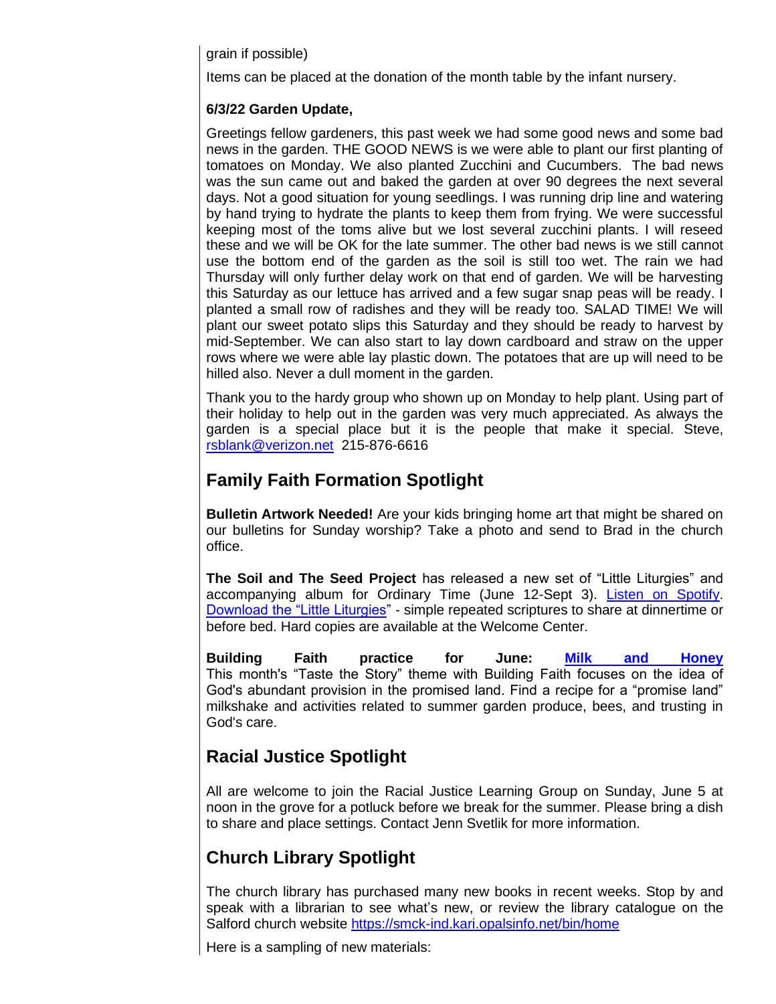grain if possible)

Items can be placed at the donation of the month table by the infant nursery.

#### **6/3/22 Garden Update,**

Greetings fellow gardeners, this past week we had some good news and some bad news in the garden. THE GOOD NEWS is we were able to plant our first planting of tomatoes on Monday. We also planted Zucchini and Cucumbers. The bad news was the sun came out and baked the garden at over 90 degrees the next several days. Not a good situation for young seedlings. I was running drip line and watering by hand trying to hydrate the plants to keep them from frying. We were successful keeping most of the toms alive but we lost several zucchini plants. I will reseed these and we will be OK for the late summer. The other bad news is we still cannot use the bottom end of the garden as the soil is still too wet. The rain we had Thursday will only further delay work on that end of garden. We will be harvesting this Saturday as our lettuce has arrived and a few sugar snap peas will be ready. I planted a small row of radishes and they will be ready too. SALAD TIME! We will plant our sweet potato slips this Saturday and they should be ready to harvest by mid-September. We can also start to lay down cardboard and straw on the upper rows where we were able lay plastic down. The potatoes that are up will need to be hilled also. Never a dull moment in the garden.

Thank you to the hardy group who shown up on Monday to help plant. Using part of their holiday to help out in the garden was very much appreciated. As always the garden is a special place but it is the people that make it special. Steve, [rsblank@verizon.net](mailto:rsblank@verizon.net) 215-876-6616

## **Family Faith Formation Spotlight**

**Bulletin Artwork Needed!** Are your kids bringing home art that might be shared on our bulletins for Sunday worship? Take a photo and send to Brad in the church office.

**The Soil and The Seed Project** has released a new set of "Little Liturgies" and accompanying album for Ordinary Time (June 12-Sept 3). [Listen on Spotify.](https://open.spotify.com/album/5PlXWiKLneuy8DU7ACfzAs?si=0VoIktOwS6m3Z5jkS6ozMA) [Download the "Little Liturgies"](https://www.thesoilandtheseedproject.org/) - simple repeated scriptures to share at dinnertime or before bed. Hard copies are available at the Welcome Center.

**Building Faith practice for June: [Milk and Honey](https://www.buildingfaithfamily.com/land-of-milk-and-honey.html)** This month's "Taste the Story" theme with Building Faith focuses on the idea of God's abundant provision in the promised land. Find a recipe for a "promise land" milkshake and activities related to summer garden produce, bees, and trusting in God's care.

## **Racial Justice Spotlight**

All are welcome to join the Racial Justice Learning Group on Sunday, June 5 at noon in the grove for a potluck before we break for the summer. Please bring a dish to share and place settings. Contact Jenn Svetlik for more information.

# **Church Library Spotlight**

The church library has purchased many new books in recent weeks. Stop by and speak with a librarian to see what's new, or review the library catalogue on the Salford church website<https://smck-ind.kari.opalsinfo.net/bin/home>

Here is a sampling of new materials: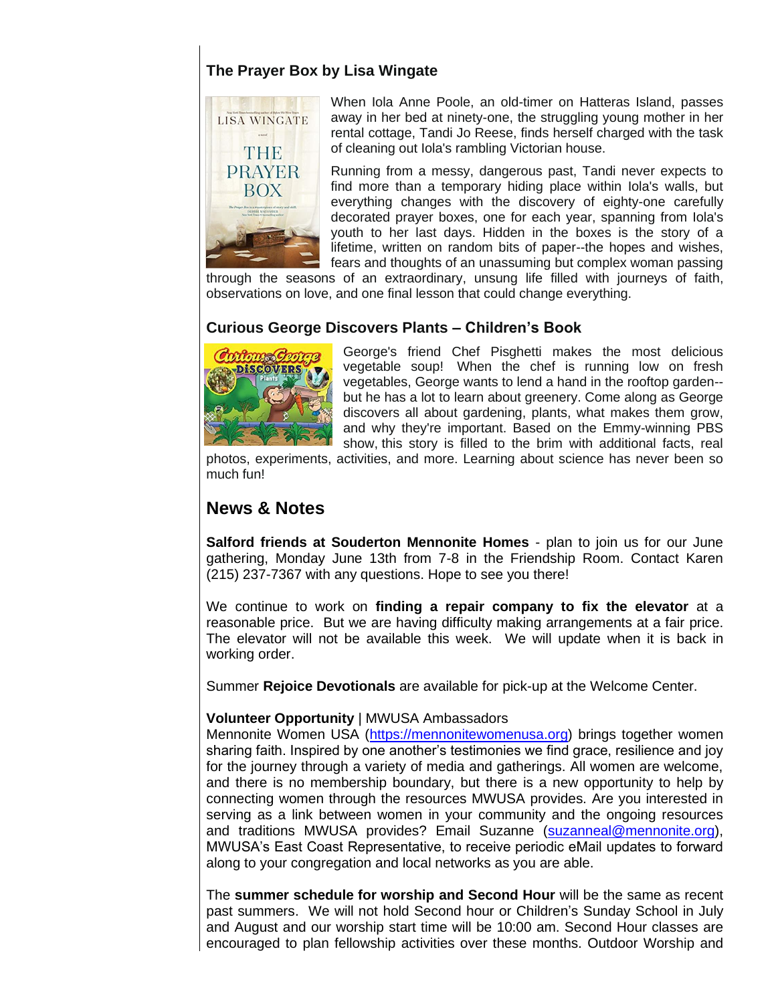## **The Prayer Box by Lisa Wingate**



When Iola Anne Poole, an old-timer on Hatteras Island, passes away in her bed at ninety-one, the struggling young mother in her rental cottage, Tandi Jo Reese, finds herself charged with the task of cleaning out Iola's rambling Victorian house.

Running from a messy, dangerous past, Tandi never expects to find more than a temporary hiding place within Iola's walls, but everything changes with the discovery of eighty-one carefully decorated prayer boxes, one for each year, spanning from Iola's youth to her last days. Hidden in the boxes is the story of a lifetime, written on random bits of paper--the hopes and wishes, fears and thoughts of an unassuming but complex woman passing

through the seasons of an extraordinary, unsung life filled with journeys of faith, observations on love, and one final lesson that could change everything.

### **Curious George Discovers Plants – Children's Book**



George's friend Chef Pisghetti makes the most delicious vegetable soup! When the chef is running low on fresh vegetables, George wants to lend a hand in the rooftop garden- but he has a lot to learn about greenery. Come along as George discovers all about gardening, plants, what makes them grow, and why they're important. Based on the Emmy-winning PBS show, this story is filled to the brim with additional facts, real

photos, experiments, activities, and more. Learning about science has never been so much fun!

## **News & Notes**

**Salford friends at Souderton Mennonite Homes** - plan to join us for our June gathering, Monday June 13th from 7-8 in the Friendship Room. Contact Karen (215) 237-7367 with any questions. Hope to see you there!

We continue to work on **finding a repair company to fix the elevator** at a reasonable price. But we are having difficulty making arrangements at a fair price. The elevator will not be available this week. We will update when it is back in working order.

Summer **Rejoice Devotionals** are available for pick-up at the Welcome Center.

#### **Volunteer Opportunity** | MWUSA Ambassadors

Mennonite Women USA [\(https://mennonitewomenusa.org\)](https://mennonitewomenusa.org/) brings together women sharing faith. Inspired by one another's testimonies we find grace, resilience and joy for the journey through a variety of media and gatherings. All women are welcome, and there is no membership boundary, but there is a new opportunity to help by connecting women through the resources MWUSA provides. Are you interested in serving as a link between women in your community and the ongoing resources and traditions MWUSA provides? Email Suzanne [\(suzanneal@mennonite.org\)](mailto:suzanneal@mennonite.org), MWUSA's East Coast Representative, to receive periodic eMail updates to forward along to your congregation and local networks as you are able.

The **summer schedule for worship and Second Hour** will be the same as recent past summers. We will not hold Second hour or Children's Sunday School in July and August and our worship start time will be 10:00 am. Second Hour classes are encouraged to plan fellowship activities over these months. Outdoor Worship and